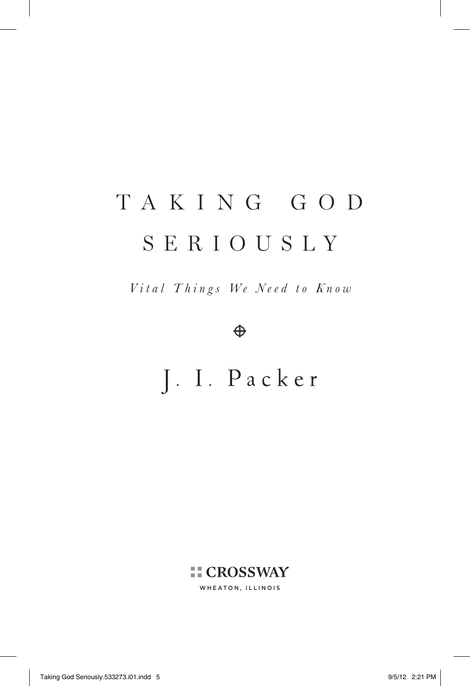# T A K I N G G O D SERIOUSLY

*Vital Things We Need to Know*

 $\bigoplus$ 

## J. I. Packer

## **ECROSSWAY**

WHEATON, ILLINOIS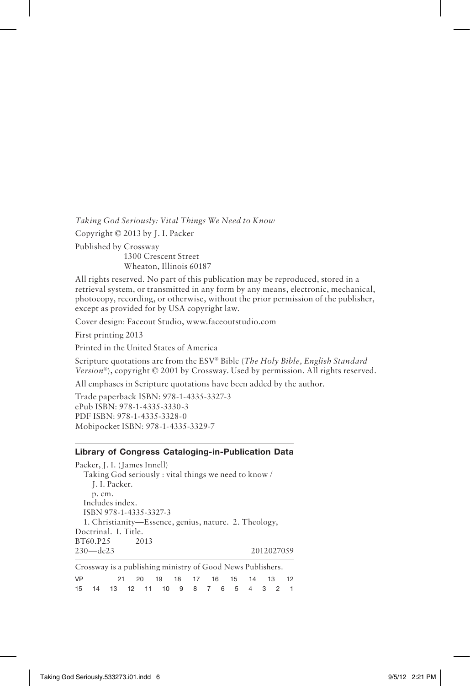*Taking God Seriously: Vital Things We Need to Know*

Copyright © 2013 by J. I. Packer

Published by Crossway 1300 Crescent Street Wheaton, Illinois 60187

All rights reserved. No part of this publication may be reproduced, stored in a retrieval system, or transmitted in any form by any means, electronic, mechanical, photocopy, recording, or otherwise, without the prior permission of the publisher, except as provided for by USA copyright law.

Cover design: Faceout Studio, www.faceoutstudio.com

First printing 2013

Printed in the United States of America

Scripture quotations are from the ESV® Bible (*The Holy Bible, English Standard Version*®), copyright © 2001 by Crossway. Used by permission. All rights reserved.

All emphases in Scripture quotations have been added by the author.

Trade paperback ISBN: 978-1-4335-3327-3 ePub ISBN: 978-1-4335-3330-3 PDF ISBN: 978-1-4335-3328-0 Mobipocket ISBN: 978-1-4335-3329-7

#### **Library of Congress Cataloging-in-Publication Data**

Packer, J. I. (James Innell) Taking God seriously : vital things we need to know / J. I. Packer. p. cm. Includes index. ISBN 978-1-4335-3327-3 1. Christianity—Essence, genius, nature. 2. Theology, Doctrinal. I. Title. BT60.P25 2013 230—dc23 2012027059 Crossway is a publishing ministry of Good News Publishers.

| <b>VP</b> |  |  |                                     |  | 21  20  19  18  17  16  15  14  13  12 |  |  |  |  |
|-----------|--|--|-------------------------------------|--|----------------------------------------|--|--|--|--|
|           |  |  | 15 14 13 12 11 10 9 8 7 6 5 4 3 2 1 |  |                                        |  |  |  |  |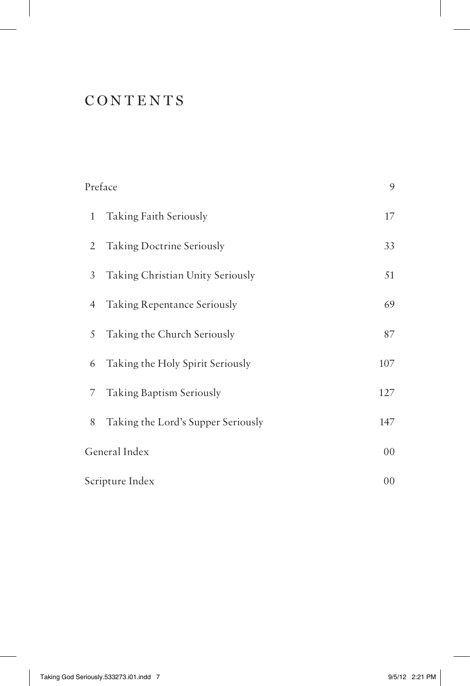### CONTENTS

|                 | Preface                            | 9      |
|-----------------|------------------------------------|--------|
| $\mathbf{1}$    | Taking Faith Seriously             | 17     |
| 2               | Taking Doctrine Seriously          | 33     |
| 3               | Taking Christian Unity Seriously   | 51     |
| 4               | Taking Repentance Seriously        | 69     |
| 5               | Taking the Church Seriously        | 87     |
| 6               | Taking the Holy Spirit Seriously   | 107    |
| 7               | Taking Baptism Seriously           | 127    |
| 8               | Taking the Lord's Supper Seriously | 147    |
| General Index   |                                    | $00\,$ |
| Scripture Index |                                    |        |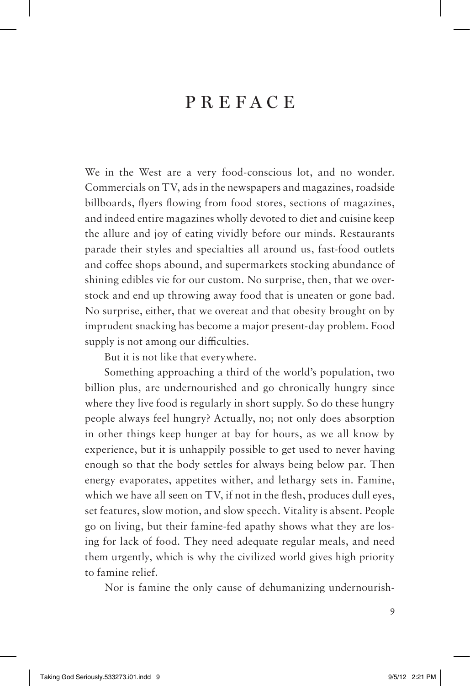## PREFACE

We in the West are a very food-conscious lot, and no wonder. Commercials on TV, ads in the newspapers and magazines, roadside billboards, flyers flowing from food stores, sections of magazines, and indeed entire magazines wholly devoted to diet and cuisine keep the allure and joy of eating vividly before our minds. Restaurants parade their styles and specialties all around us, fast-food outlets and coffee shops abound, and supermarkets stocking abundance of shining edibles vie for our custom. No surprise, then, that we overstock and end up throwing away food that is uneaten or gone bad. No surprise, either, that we overeat and that obesity brought on by imprudent snacking has become a major present-day problem. Food supply is not among our difficulties.

But it is not like that everywhere.

Something approaching a third of the world's population, two billion plus, are undernourished and go chronically hungry since where they live food is regularly in short supply. So do these hungry people always feel hungry? Actually, no; not only does absorption in other things keep hunger at bay for hours, as we all know by experience, but it is unhappily possible to get used to never having enough so that the body settles for always being below par. Then energy evaporates, appetites wither, and lethargy sets in. Famine, which we have all seen on TV, if not in the flesh, produces dull eyes, set features, slow motion, and slow speech. Vitality is absent. People go on living, but their famine-fed apathy shows what they are losing for lack of food. They need adequate regular meals, and need them urgently, which is why the civilized world gives high priority to famine relief.

Nor is famine the only cause of dehumanizing undernourish-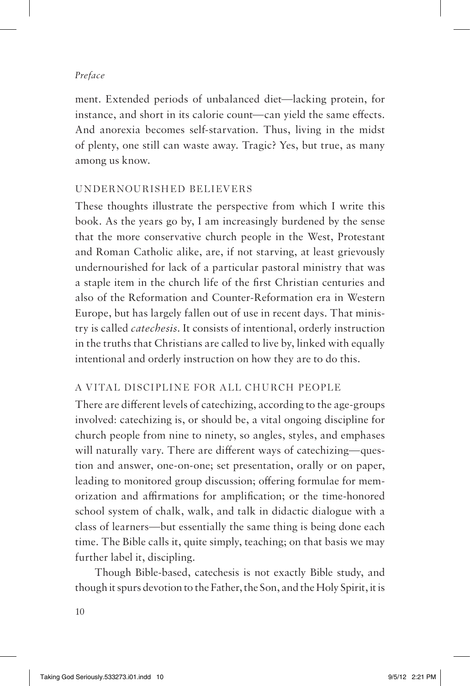#### *Preface*

ment. Extended periods of unbalanced diet—lacking protein, for instance, and short in its calorie count—can yield the same effects. And anorexia becomes self-starvation. Thus, living in the midst of plenty, one still can waste away. Tragic? Yes, but true, as many among us know.

#### UNDERNOURISHED BELIEVERS

These thoughts illustrate the perspective from which I write this book. As the years go by, I am increasingly burdened by the sense that the more conservative church people in the West, Protestant and Roman Catholic alike, are, if not starving, at least grievously undernourished for lack of a particular pastoral ministry that was a staple item in the church life of the first Christian centuries and also of the Reformation and Counter-Reformation era in Western Europe, but has largely fallen out of use in recent days. That ministry is called *catechesis*. It consists of intentional, orderly instruction in the truths that Christians are called to live by, linked with equally intentional and orderly instruction on how they are to do this.

#### A VITAL DISCIPLINE FOR ALL CHURCH PEOPLE

There are different levels of catechizing, according to the age-groups involved: catechizing is, or should be, a vital ongoing discipline for church people from nine to ninety, so angles, styles, and emphases will naturally vary. There are different ways of catechizing—question and answer, one-on-one; set presentation, orally or on paper, leading to monitored group discussion; offering formulae for memorization and a#rmations for amplification; or the time-honored school system of chalk, walk, and talk in didactic dialogue with a class of learners—but essentially the same thing is being done each time. The Bible calls it, quite simply, teaching; on that basis we may further label it, discipling.

Though Bible-based, catechesis is not exactly Bible study, and though it spurs devotion to the Father, the Son, and the Holy Spirit, it is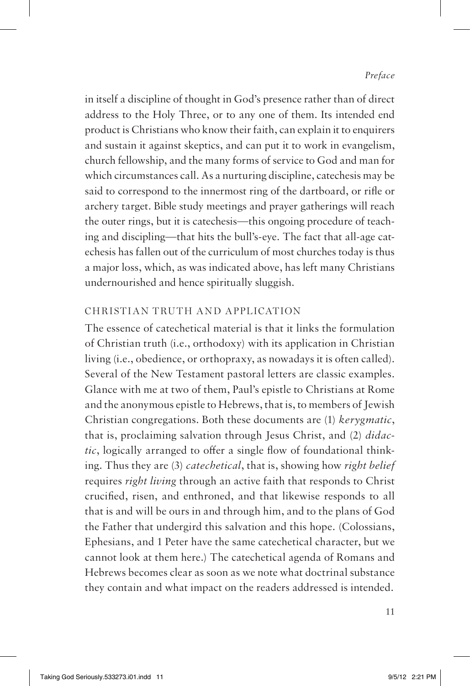in itself a discipline of thought in God's presence rather than of direct address to the Holy Three, or to any one of them. Its intended end product is Christians who know their faith, can explain it to enquirers and sustain it against skeptics, and can put it to work in evangelism, church fellowship, and the many forms of service to God and man for which circumstances call. As a nurturing discipline, catechesis may be said to correspond to the innermost ring of the dartboard, or rifle or archery target. Bible study meetings and prayer gatherings will reach the outer rings, but it is catechesis—this ongoing procedure of teaching and discipling—that hits the bull's-eye. The fact that all-age catechesis has fallen out of the curriculum of most churches today is thus a major loss, which, as was indicated above, has left many Christians undernourished and hence spiritually sluggish.

#### CHRISTIAN TRUTH AND APPLICATION

The essence of catechetical material is that it links the formulation of Christian truth (i.e., orthodoxy) with its application in Christian living (i.e., obedience, or orthopraxy, as nowadays it is often called). Several of the New Testament pastoral letters are classic examples. Glance with me at two of them, Paul's epistle to Christians at Rome and the anonymous epistle to Hebrews, that is, to members of Jewish Christian congregations. Both these documents are (1) *kerygmatic*, that is, proclaiming salvation through Jesus Christ, and (2) *didactic*, logically arranged to offer a single flow of foundational thinking. Thus they are (3) *catechetical*, that is, showing how *right belief* requires *right living* through an active faith that responds to Christ crucified, risen, and enthroned, and that likewise responds to all that is and will be ours in and through him, and to the plans of God the Father that undergird this salvation and this hope. (Colossians, Ephesians, and 1 Peter have the same catechetical character, but we cannot look at them here.) The catechetical agenda of Romans and Hebrews becomes clear as soon as we note what doctrinal substance they contain and what impact on the readers addressed is intended.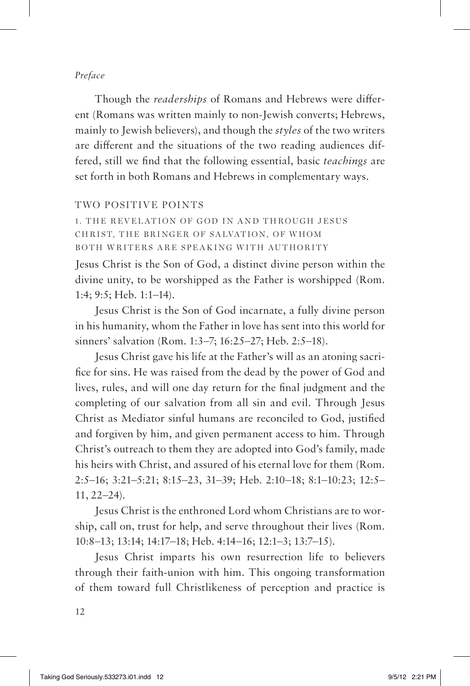#### *Preface*

Though the *readerships* of Romans and Hebrews were different (Romans was written mainly to non-Jewish converts; Hebrews, mainly to Jewish believers), and though the *styles* of the two writers are different and the situations of the two reading audiences differed, still we find that the following essential, basic *teachings* are set forth in both Romans and Hebrews in complementary ways.

#### TWO POSITIVE POINTS

1. THE REVELATION OF GOD IN AND THROUGH JESUS CHRIST, THE BRINGER OF SALVATION, OF WHOM BOTH WRITERS ARE SPEAKING WITH AUTHORITY

Jesus Christ is the Son of God, a distinct divine person within the divine unity, to be worshipped as the Father is worshipped (Rom. 1:4; 9:5; Heb. 1:1–14).

Jesus Christ is the Son of God incarnate, a fully divine person in his humanity, whom the Father in love has sent into this world for sinners' salvation (Rom. 1:3–7; 16:25–27; Heb. 2:5–18).

Jesus Christ gave his life at the Father's will as an atoning sacrifice for sins. He was raised from the dead by the power of God and lives, rules, and will one day return for the final judgment and the completing of our salvation from all sin and evil. Through Jesus Christ as Mediator sinful humans are reconciled to God, justified and forgiven by him, and given permanent access to him. Through Christ's outreach to them they are adopted into God's family, made his heirs with Christ, and assured of his eternal love for them (Rom. 2:5–16; 3:21–5:21; 8:15–23, 31–39; Heb. 2:10–18; 8:1–10:23; 12:5– 11, 22–24).

Jesus Christ is the enthroned Lord whom Christians are to worship, call on, trust for help, and serve throughout their lives (Rom. 10:8–13; 13:14; 14:17–18; Heb. 4:14–16; 12:1–3; 13:7–15).

Jesus Christ imparts his own resurrection life to believers through their faith-union with him. This ongoing transformation of them toward full Christlikeness of perception and practice is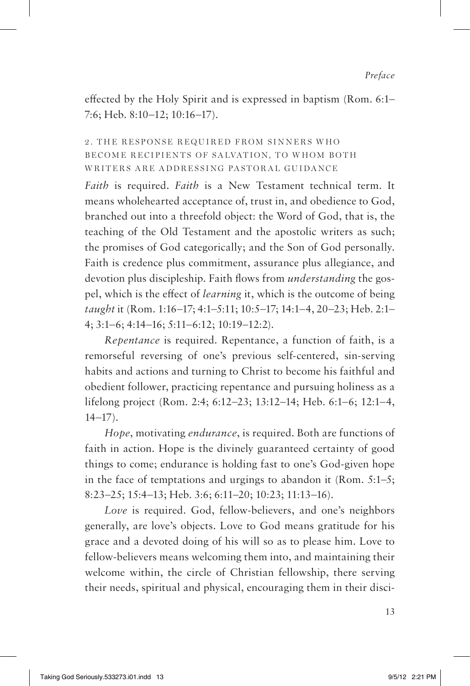effected by the Holy Spirit and is expressed in baptism (Rom. 6:1– 7:6; Heb. 8:10–12; 10:16–17).

#### 2. THE RESPONSE REQUIRED FROM SINNERS WHO BECOME RECIPIENTS OF SALVATION. TO WHOM BOTH WRITERS ARE ADDRESSING PASTORAL GUIDANCE

*Faith* is required. *Faith* is a New Testament technical term. It means wholehearted acceptance of, trust in, and obedience to God, branched out into a threefold object: the Word of God, that is, the teaching of the Old Testament and the apostolic writers as such; the promises of God categorically; and the Son of God personally. Faith is credence plus commitment, assurance plus allegiance, and devotion plus discipleship. Faith flows from *understanding* the gospel, which is the effect of *learning* it, which is the outcome of being *taught* it (Rom. 1:16–17; 4:1–5:11; 10:5–17; 14:1–4, 20–23; Heb. 2:1– 4; 3:1–6; 4:14–16; 5:11–6:12; 10:19–12:2).

*Repentance* is required. Repentance, a function of faith, is a remorseful reversing of one's previous self-centered, sin-serving habits and actions and turning to Christ to become his faithful and obedient follower, practicing repentance and pursuing holiness as a lifelong project (Rom. 2:4; 6:12–23; 13:12–14; Heb. 6:1–6; 12:1–4,  $14-17$ ).

*Hope*, motivating *endurance*, is required. Both are functions of faith in action. Hope is the divinely guaranteed certainty of good things to come; endurance is holding fast to one's God-given hope in the face of temptations and urgings to abandon it (Rom. 5:1–5; 8:23–25; 15:4–13; Heb. 3:6; 6:11–20; 10:23; 11:13–16).

*Love* is required. God, fellow-believers, and one's neighbors generally, are love's objects. Love to God means gratitude for his grace and a devoted doing of his will so as to please him. Love to fellow-believers means welcoming them into, and maintaining their welcome within, the circle of Christian fellowship, there serving their needs, spiritual and physical, encouraging them in their disci-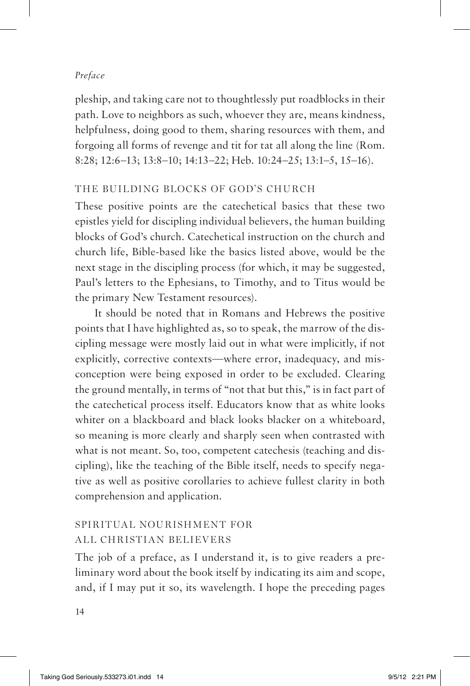#### *Preface*

pleship, and taking care not to thoughtlessly put roadblocks in their path. Love to neighbors as such, whoever they are, means kindness, helpfulness, doing good to them, sharing resources with them, and forgoing all forms of revenge and tit for tat all along the line (Rom. 8:28; 12:6–13; 13:8–10; 14:13–22; Heb. 10:24–25; 13:1–5, 15–16).

#### THE BUILDING BLOCKS OF GOD'S CHURCH

These positive points are the catechetical basics that these two epistles yield for discipling individual believers, the human building blocks of God's church. Catechetical instruction on the church and church life, Bible-based like the basics listed above, would be the next stage in the discipling process (for which, it may be suggested, Paul's letters to the Ephesians, to Timothy, and to Titus would be the primary New Testament resources).

It should be noted that in Romans and Hebrews the positive points that I have highlighted as, so to speak, the marrow of the discipling message were mostly laid out in what were implicitly, if not explicitly, corrective contexts—where error, inadequacy, and misconception were being exposed in order to be excluded. Clearing the ground mentally, in terms of "not that but this," is in fact part of the catechetical process itself. Educators know that as white looks whiter on a blackboard and black looks blacker on a whiteboard, so meaning is more clearly and sharply seen when contrasted with what is not meant. So, too, competent cate chesis (teaching and discipling), like the teaching of the Bible itself, needs to specify negative as well as positive corollaries to achieve fullest clarity in both comprehension and application.

#### SPIRITUAL NOURISHMENT FOR ALL CHRISTIAN BELIEVERS

The job of a preface, as I understand it, is to give readers a preliminary word about the book itself by indicating its aim and scope, and, if I may put it so, its wavelength. I hope the preceding pages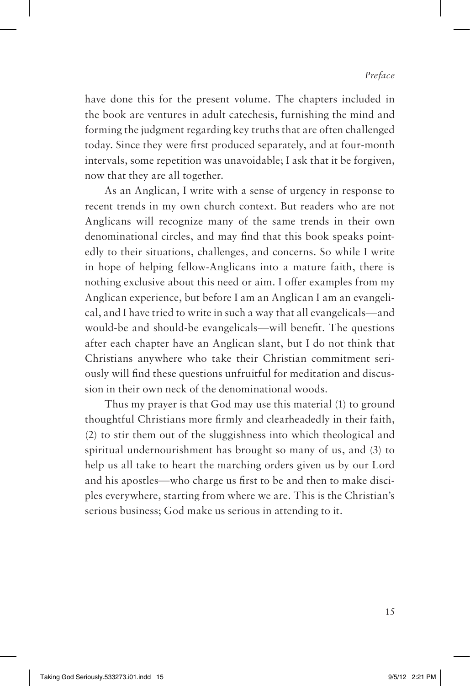have done this for the present volume. The chapters included in the book are ventures in adult catechesis, furnishing the mind and forming the judgment regarding key truths that are often challenged today. Since they were first produced separately, and at four-month intervals, some repetition was unavoidable; I ask that it be forgiven, now that they are all together.

As an Anglican, I write with a sense of urgency in response to recent trends in my own church context. But readers who are not Anglicans will recognize many of the same trends in their own denominational circles, and may find that this book speaks pointedly to their situations, challenges, and concerns. So while I write in hope of helping fellow-Anglicans into a mature faith, there is nothing exclusive about this need or aim. I offer examples from my Anglican experience, but before I am an Anglican I am an evangelical, and I have tried to write in such a way that all evangelicals—and would-be and should-be evangelicals—will benefit. The questions after each chapter have an Anglican slant, but I do not think that Christians anywhere who take their Christian commitment seriously will find these questions unfruitful for meditation and discussion in their own neck of the denominational woods.

Thus my prayer is that God may use this material (1) to ground thoughtful Christians more firmly and clearheadedly in their faith, (2) to stir them out of the sluggishness into which theological and spiritual undernourishment has brought so many of us, and (3) to help us all take to heart the marching orders given us by our Lord and his apostles—who charge us first to be and then to make disciples everywhere, starting from where we are. This is the Christian's serious business; God make us serious in attending to it.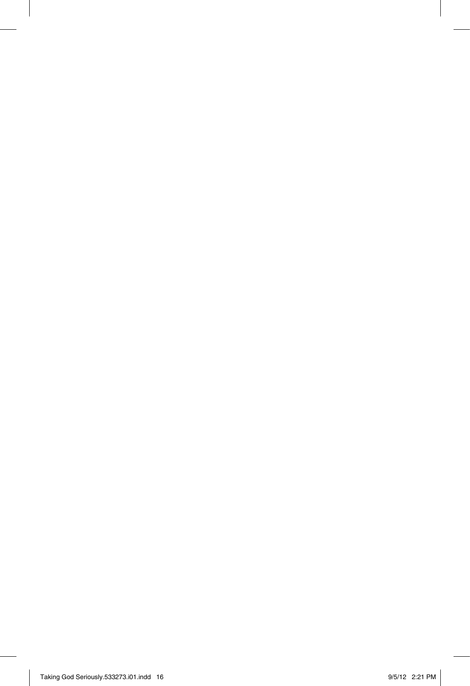I

I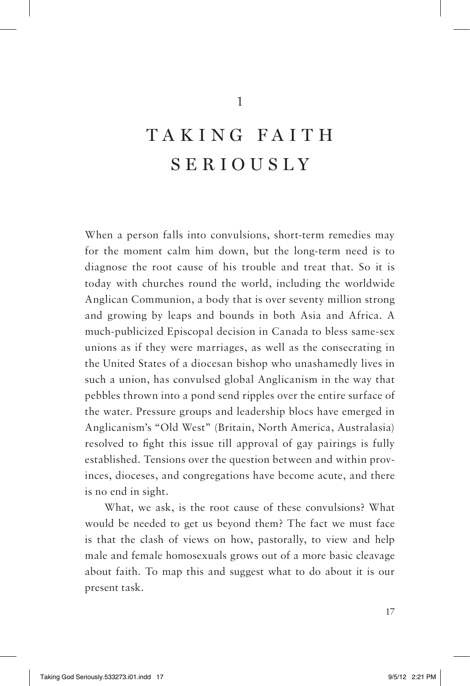1

## T A K I N G F A I T H SERIOUSLY

When a person falls into convulsions, short-term remedies may for the moment calm him down, but the long-term need is to diagnose the root cause of his trouble and treat that. So it is today with churches round the world, including the worldwide Anglican Communion, a body that is over seventy million strong and growing by leaps and bounds in both Asia and Africa. A much-publicized Episcopal decision in Canada to bless same-sex unions as if they were marriages, as well as the consecrating in the United States of a diocesan bishop who unashamedly lives in such a union, has convulsed global Anglicanism in the way that pebbles thrown into a pond send ripples over the entire surface of the water. Pressure groups and leadership blocs have emerged in Anglicanism's "Old West" (Britain, North America, Australasia) resolved to fight this issue till approval of gay pairings is fully established. Tensions over the question between and within provinces, dioceses, and congregations have become acute, and there is no end in sight.

What, we ask, is the root cause of these convulsions? What would be needed to get us beyond them? The fact we must face is that the clash of views on how, pastorally, to view and help male and female homosexuals grows out of a more basic cleavage about faith. To map this and suggest what to do about it is our present task.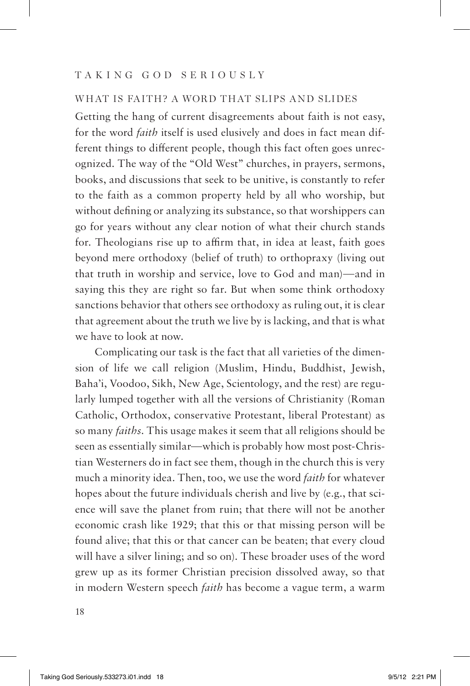#### WHAT IS FAITH? A WORD THAT SLIPS AND SLIDES

Getting the hang of current disagreements about faith is not easy, for the word *faith* itself is used elusively and does in fact mean different things to different people, though this fact often goes unrecognized. The way of the "Old West" churches, in prayers, sermons, books, and discussions that seek to be unitive, is constantly to refer to the faith as a common property held by all who worship, but without defining or analyzing its substance, so that worshippers can go for years without any clear notion of what their church stands for. Theologians rise up to affirm that, in idea at least, faith goes beyond mere orthodoxy (belief of truth) to orthopraxy (living out that truth in worship and service, love to God and man)—and in saying this they are right so far. But when some think orthodoxy sanctions behavior that others see orthodoxy as ruling out, it is clear that agreement about the truth we live by is lacking, and that is what we have to look at now.

Complicating our task is the fact that all varieties of the dimension of life we call religion (Muslim, Hindu, Buddhist, Jewish, Baha'i, Voodoo, Sikh, New Age, Scientology, and the rest) are regularly lumped together with all the versions of Christianity (Roman Catholic, Orthodox, conservative Protestant, liberal Protestant) as so many *faiths*. This usage makes it seem that all religions should be seen as essentially similar—which is probably how most post-Christian Westerners do in fact see them, though in the church this is very much a minority idea. Then, too, we use the word *faith* for whatever hopes about the future individuals cherish and live by (e.g., that science will save the planet from ruin; that there will not be another economic crash like 1929; that this or that missing person will be found alive; that this or that cancer can be beaten; that every cloud will have a silver lining; and so on). These broader uses of the word grew up as its former Christian precision dissolved away, so that in modern Western speech *faith* has become a vague term, a warm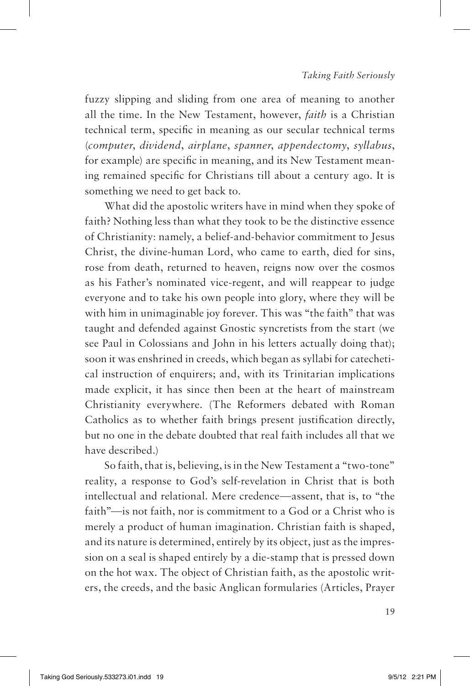fuzzy slipping and sliding from one area of meaning to another all the time. In the New Testament, however, *faith* is a Christian technical term, specific in meaning as our secular technical terms (*computer*, *dividend*, *airplane*, *spanner*, *appendectomy*, *syllabus*, for example) are specific in meaning, and its New Testament meaning remained specific for Christians till about a century ago. It is something we need to get back to.

What did the apostolic writers have in mind when they spoke of faith? Nothing less than what they took to be the distinctive essence of Christianity: namely, a belief-and-behavior commitment to Jesus Christ, the divine-human Lord, who came to earth, died for sins, rose from death, returned to heaven, reigns now over the cosmos as his Father's nominated vice-regent, and will reappear to judge everyone and to take his own people into glory, where they will be with him in unimaginable joy forever. This was "the faith" that was taught and defended against Gnostic syncretists from the start (we see Paul in Colossians and John in his letters actually doing that); soon it was enshrined in creeds, which began as syllabi for catechetical instruction of enquirers; and, with its Trinitarian implications made explicit, it has since then been at the heart of mainstream Christianity everywhere. (The Reformers debated with Roman Catholics as to whether faith brings present justification directly, but no one in the debate doubted that real faith includes all that we have described.)

So faith, that is, believing, is in the New Testament a "two-tone" reality, a response to God's self-revelation in Christ that is both intellectual and relational. Mere credence—assent, that is, to "the faith"—is not faith, nor is commitment to a God or a Christ who is merely a product of human imagination. Christian faith is shaped, and its nature is determined, entirely by its object, just as the impression on a seal is shaped entirely by a die-stamp that is pressed down on the hot wax. The object of Christian faith, as the apostolic writers, the creeds, and the basic Anglican formularies (Articles, Prayer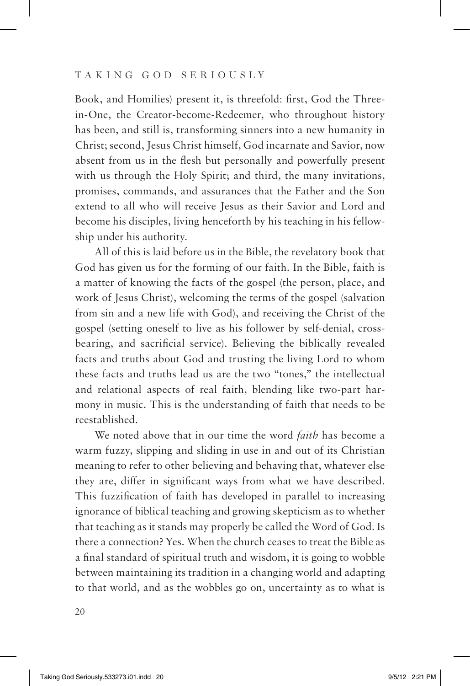Book, and Homilies) present it, is threefold: first, God the Threein-One, the Creator-become-Redeemer, who throughout history has been, and still is, transforming sinners into a new humanity in Christ; second, Jesus Christ himself, God incarnate and Savior, now absent from us in the flesh but personally and powerfully present with us through the Holy Spirit; and third, the many invitations, promises, commands, and assurances that the Father and the Son extend to all who will receive Jesus as their Savior and Lord and become his disciples, living henceforth by his teaching in his fellowship under his authority.

All of this is laid before us in the Bible, the revelatory book that God has given us for the forming of our faith. In the Bible, faith is a matter of knowing the facts of the gospel (the person, place, and work of Jesus Christ), welcoming the terms of the gospel (salvation from sin and a new life with God), and receiving the Christ of the gospel (setting oneself to live as his follower by self-denial, crossbearing, and sacrificial service). Believing the biblically revealed facts and truths about God and trusting the living Lord to whom these facts and truths lead us are the two "tones," the intellectual and relational aspects of real faith, blending like two-part harmony in music. This is the understanding of faith that needs to be reestablished.

We noted above that in our time the word *faith* has become a warm fuzzy, slipping and sliding in use in and out of its Christian meaning to refer to other believing and behaving that, whatever else they are, differ in significant ways from what we have described. This fuzzification of faith has developed in parallel to increasing ignorance of biblical teaching and growing skepticism as to whether that teaching as it stands may properly be called the Word of God. Is there a connection? Yes. When the church ceases to treat the Bible as a final standard of spiritual truth and wisdom, it is going to wobble between maintaining its tradition in a changing world and adapting to that world, and as the wobbles go on, uncertainty as to what is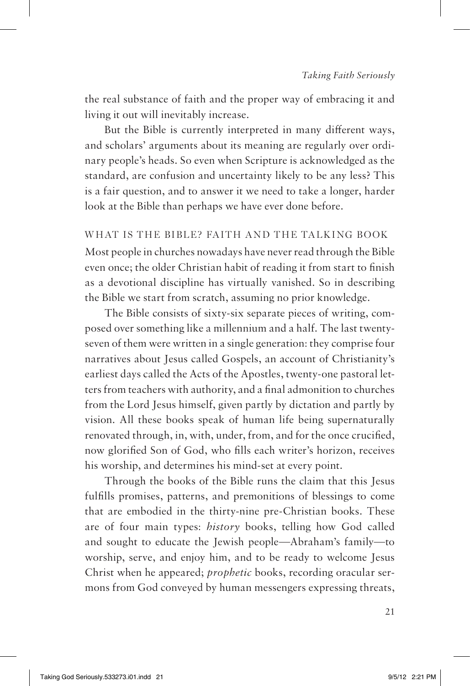the real substance of faith and the proper way of embracing it and living it out will inevitably increase.

But the Bible is currently interpreted in many different ways, and scholars' arguments about its meaning are regularly over ordinary people's heads. So even when Scripture is acknowledged as the standard, are confusion and uncertainty likely to be any less? This is a fair question, and to answer it we need to take a longer, harder look at the Bible than perhaps we have ever done before.

#### WHAT IS THE BIBLE? FAITH AND THE TALKING BOOK

Most people in churches nowadays have never read through the Bible even once; the older Christian habit of reading it from start to finish as a devotional discipline has virtually vanished. So in describing the Bible we start from scratch, assuming no prior knowledge.

The Bible consists of sixty-six separate pieces of writing, composed over something like a millennium and a half. The last twentyseven of them were written in a single generation: they comprise four narratives about Jesus called Gospels, an account of Christianity's earliest days called the Acts of the Apostles, twenty-one pastoral letters from teachers with authority, and a final admonition to churches from the Lord Jesus himself, given partly by dictation and partly by vision. All these books speak of human life being supernaturally renovated through, in, with, under, from, and for the once crucified, now glorified Son of God, who fills each writer's horizon, receives his worship, and determines his mind-set at every point.

Through the books of the Bible runs the claim that this Jesus fulfills promises, patterns, and premonitions of blessings to come that are embodied in the thirty-nine pre-Christian books. These are of four main types: *history* books, telling how God called and sought to educate the Jewish people—Abraham's family—to worship, serve, and enjoy him, and to be ready to welcome Jesus Christ when he appeared; *prophetic* books, recording oracular sermons from God conveyed by human messengers expressing threats,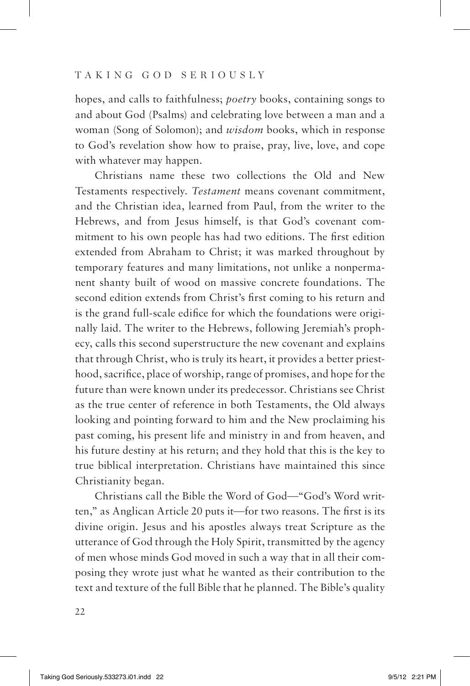hopes, and calls to faithfulness; *poetry* books, containing songs to and about God (Psalms) and celebrating love between a man and a woman (Song of Solomon); and *wisdom* books, which in response to God's revelation show how to praise, pray, live, love, and cope with whatever may happen.

Christians name these two collections the Old and New Testaments respectively. *Testament* means covenant commitment, and the Christian idea, learned from Paul, from the writer to the Hebrews, and from Jesus himself, is that God's covenant commitment to his own people has had two editions. The first edition extended from Abraham to Christ; it was marked throughout by temporary features and many limitations, not unlike a nonpermanent shanty built of wood on massive concrete foundations. The second edition extends from Christ's first coming to his return and is the grand full-scale edifice for which the foundations were originally laid. The writer to the Hebrews, following Jeremiah's prophecy, calls this second superstructure the new covenant and explains that through Christ, who is truly its heart, it provides a better priesthood, sacrifice, place of worship, range of promises, and hope for the future than were known under its predecessor. Christians see Christ as the true center of reference in both Testaments, the Old always looking and pointing forward to him and the New proclaiming his past coming, his present life and ministry in and from heaven, and his future destiny at his return; and they hold that this is the key to true biblical interpretation. Christians have maintained this since Christianity began.

Christians call the Bible the Word of God—"God's Word written," as Anglican Article 20 puts it—for two reasons. The first is its divine origin. Jesus and his apostles always treat Scripture as the utterance of God through the Holy Spirit, transmitted by the agency of men whose minds God moved in such a way that in all their composing they wrote just what he wanted as their contribution to the text and texture of the full Bible that he planned. The Bible's quality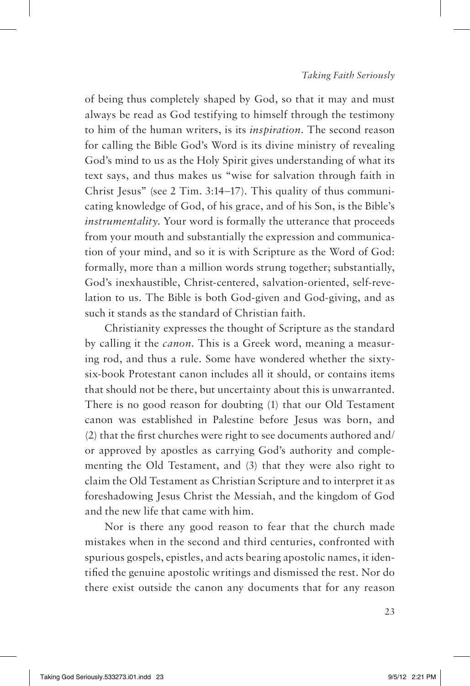of being thus completely shaped by God, so that it may and must always be read as God testifying to himself through the testimony to him of the human writers, is its *inspiration*. The second reason for calling the Bible God's Word is its divine ministry of revealing God's mind to us as the Holy Spirit gives understanding of what its text says, and thus makes us "wise for salvation through faith in Christ Jesus" (see 2 Tim. 3:14–17). This quality of thus communicating knowledge of God, of his grace, and of his Son, is the Bible's *instrumentality*. Your word is formally the utterance that proceeds from your mouth and substantially the expression and communication of your mind, and so it is with Scripture as the Word of God: formally, more than a million words strung together; substantially, God's inexhaustible, Christ-centered, salvation-oriented, self-revelation to us. The Bible is both God-given and God-giving, and as such it stands as the standard of Christian faith.

Christianity expresses the thought of Scripture as the standard by calling it the *canon*. This is a Greek word, meaning a measuring rod, and thus a rule. Some have wondered whether the sixtysix-book Protestant canon includes all it should, or contains items that should not be there, but uncertainty about this is unwarranted. There is no good reason for doubting (1) that our Old Testament canon was established in Palestine before Jesus was born, and (2) that the first churches were right to see documents authored and/ or approved by apostles as carrying God's authority and complementing the Old Testament, and (3) that they were also right to claim the Old Testament as Christian Scripture and to interpret it as foreshadowing Jesus Christ the Messiah, and the kingdom of God and the new life that came with him.

Nor is there any good reason to fear that the church made mistakes when in the second and third centuries, confronted with spurious gospels, epistles, and acts bearing apostolic names, it identified the genuine apostolic writings and dismissed the rest. Nor do there exist outside the canon any documents that for any reason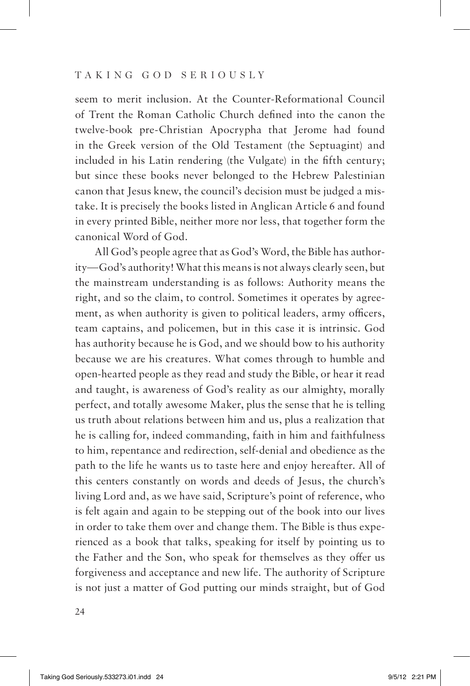seem to merit inclusion. At the Counter-Reformational Council of Trent the Roman Catholic Church defined into the canon the twelve-book pre-Christian Apocrypha that Jerome had found in the Greek version of the Old Testament (the Septuagint) and included in his Latin rendering (the Vulgate) in the fifth century; but since these books never belonged to the Hebrew Palestinian canon that Jesus knew, the council's decision must be judged a mistake. It is precisely the books listed in Anglican Article 6 and found in every printed Bible, neither more nor less, that together form the canonical Word of God.

All God's people agree that as God's Word, the Bible has authority—God's authority! What this means is not always clearly seen, but the mainstream understanding is as follows: Authority means the right, and so the claim, to control. Sometimes it operates by agreement, as when authority is given to political leaders, army officers, team captains, and policemen, but in this case it is intrinsic. God has authority because he is God, and we should bow to his authority because we are his creatures. What comes through to humble and open-hearted people as they read and study the Bible, or hear it read and taught, is awareness of God's reality as our almighty, morally perfect, and totally awesome Maker, plus the sense that he is telling us truth about relations between him and us, plus a realization that he is calling for, indeed commanding, faith in him and faithfulness to him, repentance and redirection, self-denial and obedience as the path to the life he wants us to taste here and enjoy hereafter. All of this centers constantly on words and deeds of Jesus, the church's living Lord and, as we have said, Scripture's point of reference, who is felt again and again to be stepping out of the book into our lives in order to take them over and change them. The Bible is thus experienced as a book that talks, speaking for itself by pointing us to the Father and the Son, who speak for themselves as they offer us forgiveness and acceptance and new life. The authority of Scripture is not just a matter of God putting our minds straight, but of God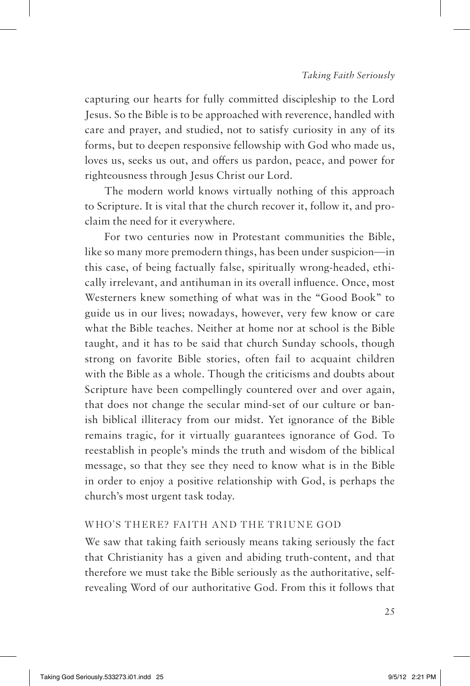capturing our hearts for fully committed discipleship to the Lord Jesus. So the Bible is to be approached with reverence, handled with care and prayer, and studied, not to satisfy curiosity in any of its forms, but to deepen responsive fellowship with God who made us, loves us, seeks us out, and offers us pardon, peace, and power for righteousness through Jesus Christ our Lord.

The modern world knows virtually nothing of this approach to Scripture. It is vital that the church recover it, follow it, and proclaim the need for it everywhere.

For two centuries now in Protestant communities the Bible, like so many more premodern things, has been under suspicion—in this case, of being factually false, spiritually wrong-headed, ethically irrelevant, and antihuman in its overall influence. Once, most Westerners knew something of what was in the "Good Book" to guide us in our lives; nowadays, however, very few know or care what the Bible teaches. Neither at home nor at school is the Bible taught, and it has to be said that church Sunday schools, though strong on favorite Bible stories, often fail to acquaint children with the Bible as a whole. Though the criticisms and doubts about Scripture have been compellingly countered over and over again, that does not change the secular mind-set of our culture or banish biblical illiteracy from our midst. Yet ignorance of the Bible remains tragic, for it virtually guarantees ignorance of God. To reestablish in people's minds the truth and wisdom of the biblical message, so that they see they need to know what is in the Bible in order to enjoy a positive relationship with God, is perhaps the church's most urgent task today.

#### WHO'S THERE? FAITH AND THE TRIUNE GOD

We saw that taking faith seriously means taking seriously the fact that Christianity has a given and abiding truth-content, and that therefore we must take the Bible seriously as the authoritative, selfrevealing Word of our authoritative God. From this it follows that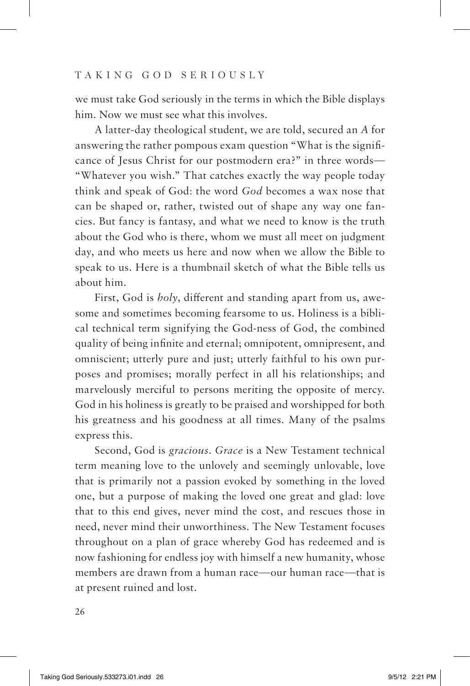we must take God seriously in the terms in which the Bible displays him. Now we must see what this involves.

A latter-day theological student, we are told, secured an *A* for answering the rather pompous exam question "What is the significance of Jesus Christ for our postmodern era?" in three words— "Whatever you wish." That catches exactly the way people today think and speak of God: the word *God* becomes a wax nose that can be shaped or, rather, twisted out of shape any way one fancies. But fancy is fantasy, and what we need to know is the truth about the God who is there, whom we must all meet on judgment day, and who meets us here and now when we allow the Bible to speak to us. Here is a thumbnail sketch of what the Bible tells us about him.

First, God is *holy*, different and standing apart from us, awesome and sometimes becoming fearsome to us. Holiness is a biblical technical term signifying the God-ness of God, the combined quality of being infinite and eternal; omnipotent, omnipresent, and omniscient; utterly pure and just; utterly faithful to his own purposes and promises; morally perfect in all his relationships; and marvelously merciful to persons meriting the opposite of mercy. God in his holiness is greatly to be praised and worshipped for both his greatness and his goodness at all times. Many of the psalms express this.

Second, God is *gracious. Grace* is a New Testament technical term meaning love to the unlovely and seemingly unlovable, love that is primarily not a passion evoked by something in the loved one, but a purpose of making the loved one great and glad: love that to this end gives, never mind the cost, and rescues those in need, never mind their unworthiness. The New Testament focuses throughout on a plan of grace whereby God has redeemed and is now fashioning for endless joy with himself a new humanity, whose members are drawn from a human race—our human race—that is at present ruined and lost.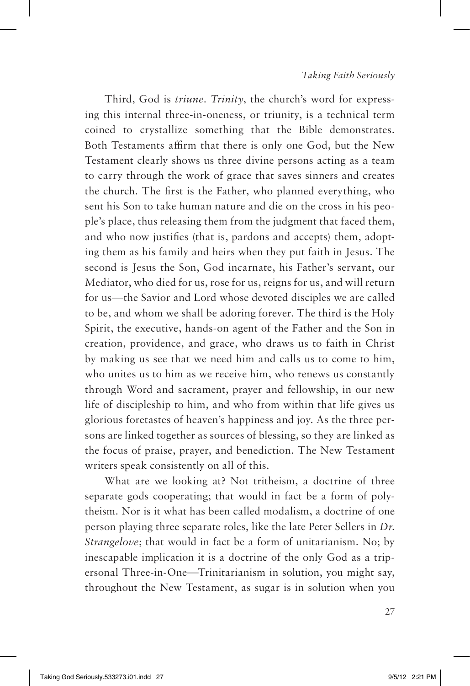Third, God is *triune*. *Trinity*, the church's word for expressing this internal three-in-oneness, or triunity, is a technical term coined to crystallize something that the Bible demonstrates. Both Testaments affirm that there is only one God, but the New Testament clearly shows us three divine persons acting as a team to carry through the work of grace that saves sinners and creates the church. The first is the Father, who planned everything, who sent his Son to take human nature and die on the cross in his people's place, thus releasing them from the judgment that faced them, and who now justifies (that is, pardons and accepts) them, adopting them as his family and heirs when they put faith in Jesus. The second is Jesus the Son, God incarnate, his Father's servant, our Mediator, who died for us, rose for us, reigns for us, and will return for us—the Savior and Lord whose devoted disciples we are called to be, and whom we shall be adoring forever. The third is the Holy Spirit, the executive, hands-on agent of the Father and the Son in creation, providence, and grace, who draws us to faith in Christ by making us see that we need him and calls us to come to him, who unites us to him as we receive him, who renews us constantly through Word and sacrament, prayer and fellowship, in our new life of discipleship to him, and who from within that life gives us glorious foretastes of heaven's happiness and joy. As the three persons are linked together as sources of blessing, so they are linked as the focus of praise, prayer, and benediction. The New Testament writers speak consistently on all of this.

What are we looking at? Not tritheism, a doctrine of three separate gods cooperating; that would in fact be a form of polytheism. Nor is it what has been called modalism, a doctrine of one person playing three separate roles, like the late Peter Sellers in *Dr. Strangelove*; that would in fact be a form of unitarianism. No; by inescapable implication it is a doctrine of the only God as a tripersonal Three-in-One—Trinitarianism in solution, you might say, throughout the New Testament, as sugar is in solution when you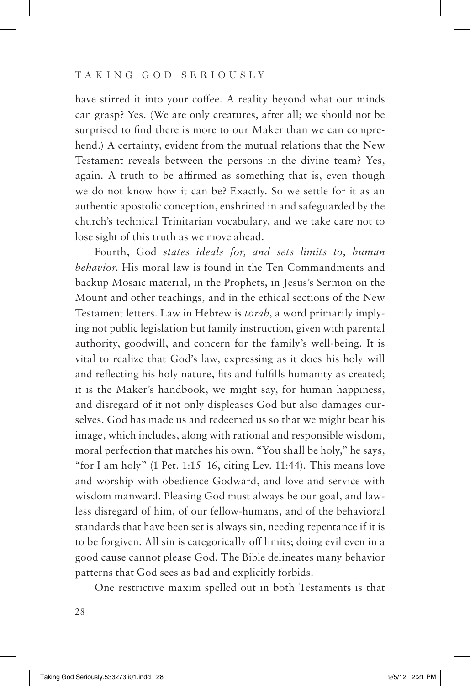have stirred it into your coffee. A reality beyond what our minds can grasp? Yes. (We are only creatures, after all; we should not be surprised to find there is more to our Maker than we can comprehend.) A certainty, evident from the mutual relations that the New Testament reveals between the persons in the divine team? Yes, again. A truth to be affirmed as something that is, even though we do not know how it can be? Exactly. So we settle for it as an authentic apostolic conception, enshrined in and safeguarded by the church's technical Trinitarian vocabulary, and we take care not to lose sight of this truth as we move ahead.

Fourth, God *states ideals for, and sets limits to, human behavior.* His moral law is found in the Ten Commandments and backup Mosaic material, in the Prophets, in Jesus's Sermon on the Mount and other teachings, and in the ethical sections of the New Testament letters. Law in Hebrew is *torah*, a word primarily implying not public legislation but family instruction, given with parental authority, goodwill, and concern for the family's well-being. It is vital to realize that God's law, expressing as it does his holy will and reflecting his holy nature, fits and fulfills humanity as created; it is the Maker's handbook, we might say, for human happiness, and disregard of it not only displeases God but also damages ourselves. God has made us and redeemed us so that we might bear his image, which includes, along with rational and responsible wisdom, moral perfection that matches his own. "You shall be holy," he says, "for I am holy" (1 Pet. 1:15–16, citing Lev. 11:44). This means love and worship with obedience Godward, and love and service with wisdom manward. Pleasing God must always be our goal, and lawless disregard of him, of our fellow-humans, and of the behavioral standards that have been set is always sin, needing repentance if it is to be forgiven. All sin is categorically off limits; doing evil even in a good cause cannot please God. The Bible delineates many behavior patterns that God sees as bad and explicitly forbids.

One restrictive maxim spelled out in both Testaments is that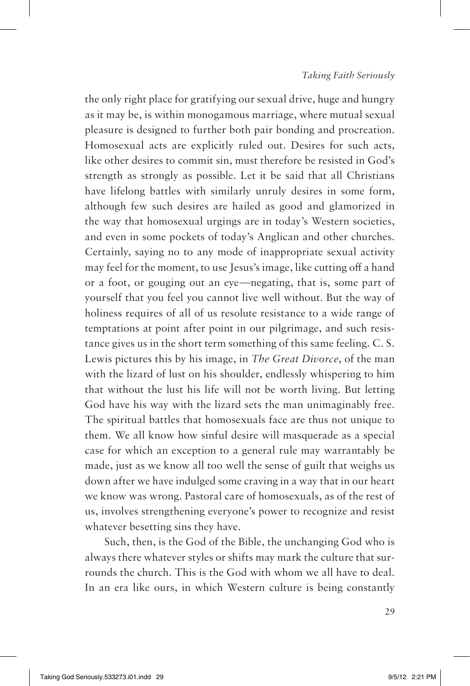the only right place for gratifying our sexual drive, huge and hungry as it may be, is within monogamous marriage, where mutual sexual pleasure is designed to further both pair bonding and procreation. Homosexual acts are explicitly ruled out. Desires for such acts, like other desires to commit sin, must therefore be resisted in God's strength as strongly as possible. Let it be said that all Christians have lifelong battles with similarly unruly desires in some form, although few such desires are hailed as good and glamorized in the way that homosexual urgings are in today's Western societies, and even in some pockets of today's Anglican and other churches. Certainly, saying no to any mode of inappropriate sexual activity may feel for the moment, to use Jesus's image, like cutting off a hand or a foot, or gouging out an eye—negating, that is, some part of yourself that you feel you cannot live well without. But the way of holiness requires of all of us resolute resistance to a wide range of temptations at point after point in our pilgrimage, and such resistance gives us in the short term something of this same feeling. C. S. Lewis pictures this by his image, in *The Great Divorce*, of the man with the lizard of lust on his shoulder, endlessly whispering to him that without the lust his life will not be worth living. But letting God have his way with the lizard sets the man unimaginably free. The spiritual battles that homosexuals face are thus not unique to them. We all know how sinful desire will masquerade as a special case for which an exception to a general rule may warrantably be made, just as we know all too well the sense of guilt that weighs us down after we have indulged some craving in a way that in our heart we know was wrong. Pastoral care of homosexuals, as of the rest of us, involves strengthening everyone's power to recognize and resist whatever besetting sins they have.

Such, then, is the God of the Bible, the unchanging God who is always there whatever styles or shifts may mark the culture that surrounds the church. This is the God with whom we all have to deal. In an era like ours, in which Western culture is being constantly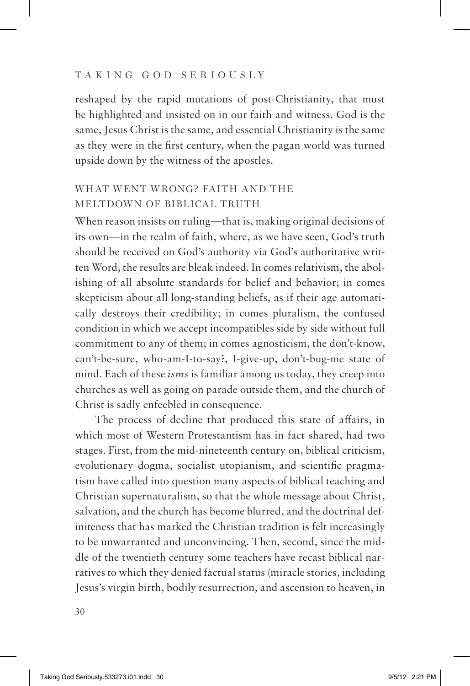reshaped by the rapid mutations of post-Christianity, that must be highlighted and insisted on in our faith and witness. God is the same, Jesus Christ is the same, and essential Christianity is the same as they were in the first century, when the pagan world was turned upside down by the witness of the apostles.

#### WHAT WENT WRONG? FAITH AND THE MELTDOWN OF BIBLICAL TRUTH

When reason insists on ruling—that is, making original decisions of its own—in the realm of faith, where, as we have seen, God's truth should be received on God's authority via God's authoritative written Word, the results are bleak indeed. In comes relativism, the abolishing of all absolute standards for belief and behavior; in comes skepticism about all long-standing beliefs, as if their age automatically destroys their credibility; in comes pluralism, the confused condition in which we accept incompatibles side by side without full commitment to any of them; in comes agnosticism, the don't-know, can't-be-sure, who-am-I-to-say?, I-give-up, don't-bug-me state of mind. Each of these *isms* is familiar among us today, they creep into churches as well as going on parade outside them, and the church of Christ is sadly enfeebled in consequence.

The process of decline that produced this state of affairs, in which most of Western Protestantism has in fact shared, had two stages. First, from the mid-nineteenth century on, biblical criticism, evolutionary dogma, socialist utopianism, and scientific pragmatism have called into question many aspects of biblical teaching and Christian supernaturalism, so that the whole message about Christ, salvation, and the church has become blurred, and the doctrinal definiteness that has marked the Christian tradition is felt increasingly to be unwarranted and unconvincing. Then, second, since the middle of the twentieth century some teachers have recast biblical narratives to which they denied factual status (miracle stories, including Jesus's virgin birth, bodily resurrection, and ascension to heaven, in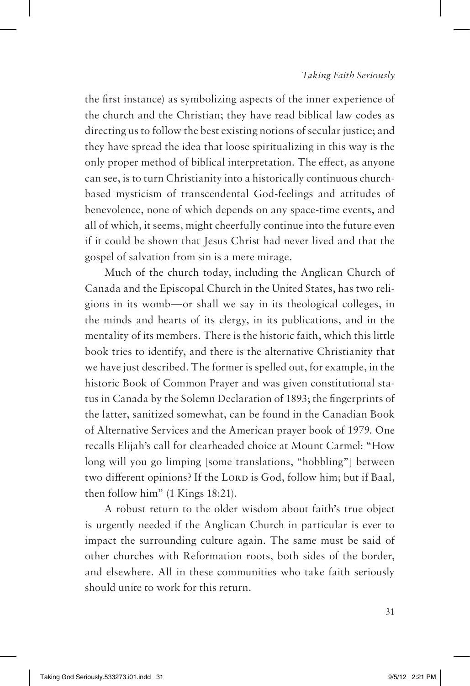#### *Taking Faith Seriously*

the first instance) as symbolizing aspects of the inner experience of the church and the Christian; they have read biblical law codes as directing us to follow the best existing notions of secular justice; and they have spread the idea that loose spiritualizing in this way is the only proper method of biblical interpretation. The effect, as anyone can see, is to turn Christianity into a historically continuous churchbased mysticism of transcendental God-feelings and attitudes of benevolence, none of which depends on any space-time events, and all of which, it seems, might cheerfully continue into the future even if it could be shown that Jesus Christ had never lived and that the gospel of salvation from sin is a mere mirage.

Much of the church today, including the Anglican Church of Canada and the Episcopal Church in the United States, has two religions in its womb—or shall we say in its theological colleges, in the minds and hearts of its clergy, in its publications, and in the mentality of its members. There is the historic faith, which this little book tries to identify, and there is the alternative Christianity that we have just described. The former is spelled out, for example, in the historic Book of Common Prayer and was given constitutional status in Canada by the Solemn Declaration of 1893; the fingerprints of the latter, sanitized somewhat, can be found in the Canadian Book of Alternative Services and the American prayer book of 1979. One recalls Elijah's call for clearheaded choice at Mount Carmel: "How long will you go limping [some translations, "hobbling"] between two different opinions? If the LORD is God, follow him; but if Baal, then follow him" (1 Kings 18:21).

A robust return to the older wisdom about faith's true object is urgently needed if the Anglican Church in particular is ever to impact the surrounding culture again. The same must be said of other churches with Reformation roots, both sides of the border, and elsewhere. All in these communities who take faith seriously should unite to work for this return.